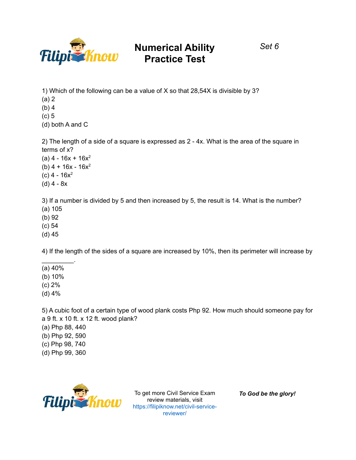

*Set 6*

1) Which of the following can be a value of X so that 28,54X is divisible by 3? (a) 2 (b) 4 (c) 5

(d) both A and C

2) The length of a side of a square is expressed as 2 - 4x. What is the area of the square in terms of x?

- $(a)$  4 16x + 16x<sup>2</sup> (b)  $4 + 16x - 16x^2$
- $(c)$  4 16 $x^2$
- (d) 4 8x

3) If a number is divided by 5 and then increased by 5, the result is 14. What is the number? (a) 105

- (b) 92
- (c) 54
- (d) 45

4) If the length of the sides of a square are increased by 10%, then its perimeter will increase by

(a) 40%

 $\mathcal{L}_\text{max}$ 

- (b) 10%
- (c) 2%
- (d) 4%

5) A cubic foot of a certain type of wood plank costs Php 92. How much should someone pay for a 9 ft. x 10 ft. x 12 ft. wood plank?

- (a) Php 88, 440
- (b) Php 92, 590
- (c) Php 98, 740
- (d) Php 99, 360



To get more Civil Service Exam review materials, visit https://filipiknow.net/civil-servicereviewer/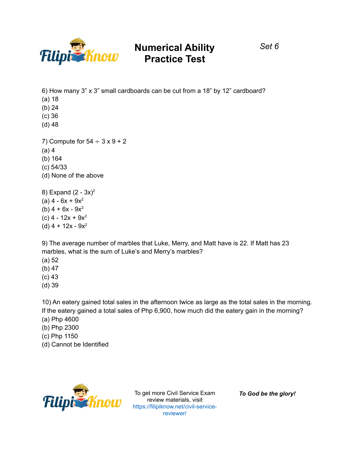

6) How many 3" x 3" small cardboards can be cut from a 18" by 12" cardboard? (a) 18 (b) 24 (c) 36 (d) 48 7) Compute for  $54 \div 3 \times 9 + 2$ (a) 4 (b) 164 (c) 54/33 (d) None of the above 8) Expand  $(2 - 3x)^2$ (a)  $4 - 6x + 9x^2$ (b)  $4 + 6x - 9x^2$  $(c)$  4 - 12x + 9x<sup>2</sup>

9) The average number of marbles that Luke, Merry, and Matt have is 22. If Matt has 23 marbles, what is the sum of Luke's and Merry's marbles?

(a) 52

(d)  $4 + 12x - 9x^2$ 

- (b) 47
- (c) 43
- (d) 39

10) An eatery gained total sales in the afternoon twice as large as the total sales in the morning. If the eatery gained a total sales of Php 6,900, how much did the eatery gain in the morning? (a) Php 4600

- (b) Php 2300
- (c) Php 1150
- (d) Cannot be Identified



To get more Civil Service Exam review materials, visit https://filipiknow.net/civil-servicereviewer/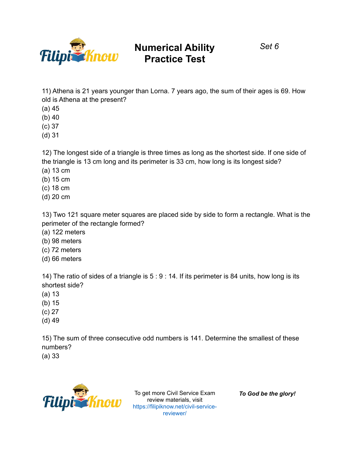

*Set 6*

11) Athena is 21 years younger than Lorna. 7 years ago, the sum of their ages is 69. How old is Athena at the present?

- (a) 45
- (b) 40
- (c) 37
- (d) 31

12) The longest side of a triangle is three times as long as the shortest side. If one side of the triangle is 13 cm long and its perimeter is 33 cm, how long is its longest side?

- (a) 13 cm
- (b) 15 cm
- (c) 18 cm
- (d) 20 cm

13) Two 121 square meter squares are placed side by side to form a rectangle. What is the perimeter of the rectangle formed?

- (a) 122 meters
- (b) 98 meters
- (c) 72 meters
- (d) 66 meters

14) The ratio of sides of a triangle is 5 : 9 : 14. If its perimeter is 84 units, how long is its shortest side?

- (a) 13
- (b) 15
- (c) 27
- (d) 49

15) The sum of three consecutive odd numbers is 141. Determine the smallest of these numbers?

(a) 33



To get more Civil Service Exam review materials, visit https://filipiknow.net/civil-servicereviewer/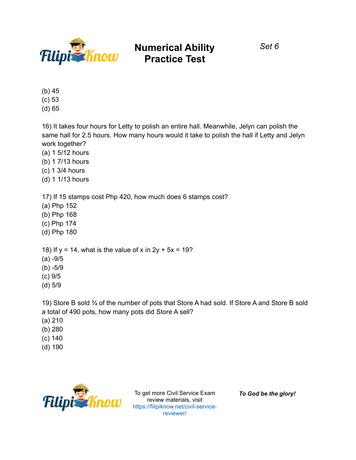

*Set 6*

(b) 45

(c) 53

(d) 65

16) It takes four hours for Letty to polish an entire hall. Meanwhile, Jelyn can polish the same hall for 2.5 hours. How many hours would it take to polish the hall if Letty and Jelyn work together?

(a) 1 5/12 hours

(b) 1 7/13 hours

(c) 1 3/4 hours

(d) 1 1/13 hours

17) If 15 stamps cost Php 420, how much does 6 stamps cost?

(a) Php 152

(b) Php 168

(c) Php 174

(d) Php 180

18) If  $y = 14$ , what is the value of x in  $2y + 5x = 19$ ?

(a) -9/5

- (b) -5/9
- (c) 9/5
- (d) 5/9

19) Store B sold ¾ of the number of pots that Store A had sold. If Store A and Store B sold a total of 490 pots, how many pots did Store A sell?

- (a) 210
- (b) 280
- (c) 140
- (d) 190



To get more Civil Service Exam review materials, visit https://filipiknow.net/civil-servicereviewer/